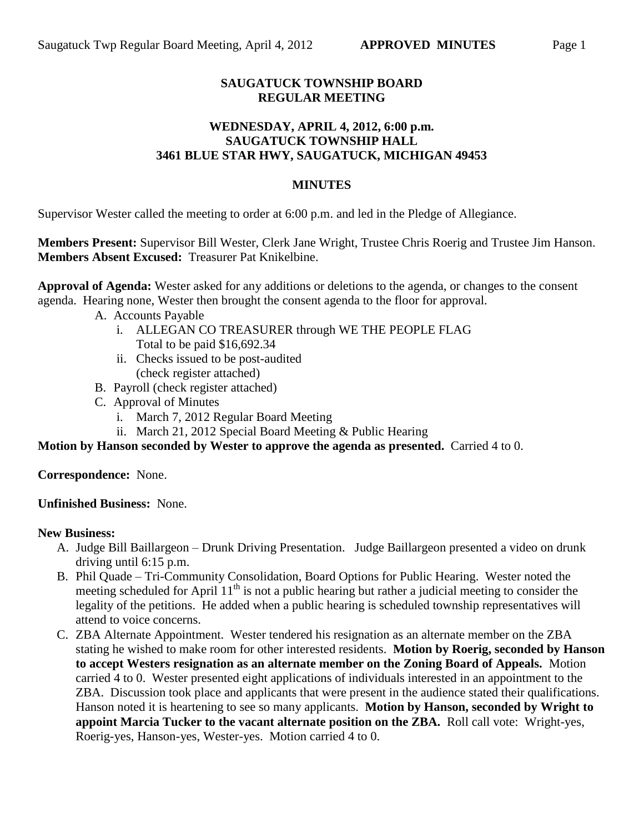# **SAUGATUCK TOWNSHIP BOARD REGULAR MEETING**

### **WEDNESDAY, APRIL 4, 2012, 6:00 p.m. SAUGATUCK TOWNSHIP HALL 3461 BLUE STAR HWY, SAUGATUCK, MICHIGAN 49453**

### **MINUTES**

Supervisor Wester called the meeting to order at 6:00 p.m. and led in the Pledge of Allegiance.

**Members Present:** Supervisor Bill Wester, Clerk Jane Wright, Trustee Chris Roerig and Trustee Jim Hanson. **Members Absent Excused:** Treasurer Pat Knikelbine.

**Approval of Agenda:** Wester asked for any additions or deletions to the agenda, or changes to the consent agenda. Hearing none, Wester then brought the consent agenda to the floor for approval.

- A. Accounts Payable
	- i. ALLEGAN CO TREASURER through WE THE PEOPLE FLAG Total to be paid \$16,692.34
	- ii. Checks issued to be post-audited (check register attached)
- B. Payroll (check register attached)
- C. Approval of Minutes
	- i. March 7, 2012 Regular Board Meeting
- ii. March 21, 2012 Special Board Meeting & Public Hearing

**Motion by Hanson seconded by Wester to approve the agenda as presented.** Carried 4 to 0.

**Correspondence:** None.

**Unfinished Business:** None.

#### **New Business:**

- A. Judge Bill Baillargeon Drunk Driving Presentation. Judge Baillargeon presented a video on drunk driving until 6:15 p.m.
- B. Phil Quade Tri-Community Consolidation, Board Options for Public Hearing. Wester noted the meeting scheduled for April  $11<sup>th</sup>$  is not a public hearing but rather a judicial meeting to consider the legality of the petitions. He added when a public hearing is scheduled township representatives will attend to voice concerns.
- C. ZBA Alternate Appointment. Wester tendered his resignation as an alternate member on the ZBA stating he wished to make room for other interested residents. **Motion by Roerig, seconded by Hanson to accept Westers resignation as an alternate member on the Zoning Board of Appeals.** Motion carried 4 to 0. Wester presented eight applications of individuals interested in an appointment to the ZBA. Discussion took place and applicants that were present in the audience stated their qualifications. Hanson noted it is heartening to see so many applicants. **Motion by Hanson, seconded by Wright to appoint Marcia Tucker to the vacant alternate position on the ZBA.** Roll call vote: Wright-yes, Roerig-yes, Hanson-yes, Wester-yes. Motion carried 4 to 0.